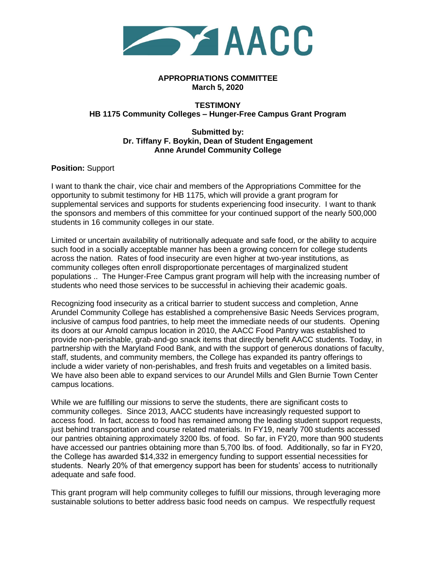

## **APPROPRIATIONS COMMITTEE March 5, 2020**

## **TESTIMONY HB 1175 Community Colleges – Hunger-Free Campus Grant Program**

## **Submitted by: Dr. Tiffany F. Boykin, Dean of Student Engagement Anne Arundel Community College**

**Position:** Support

I want to thank the chair, vice chair and members of the Appropriations Committee for the opportunity to submit testimony for HB 1175, which will provide a grant program for supplemental services and supports for students experiencing food insecurity. I want to thank the sponsors and members of this committee for your continued support of the nearly 500,000 students in 16 community colleges in our state.

Limited or uncertain availability of nutritionally adequate and safe food, or the ability to acquire such food in a socially acceptable manner has been a growing concern for college students across the nation. Rates of food insecurity are even higher at two-year institutions, as community colleges often enroll disproportionate percentages of marginalized student populations .. The Hunger-Free Campus grant program will help with the increasing number of students who need those services to be successful in achieving their academic goals.

Recognizing food insecurity as a critical barrier to student success and completion, Anne Arundel Community College has established a comprehensive Basic Needs Services program, inclusive of campus food pantries, to help meet the immediate needs of our students. Opening its doors at our Arnold campus location in 2010, the AACC Food Pantry was established to provide non-perishable, grab-and-go snack items that directly benefit AACC students. Today, in partnership with the Maryland Food Bank, and with the support of generous donations of faculty, staff, students, and community members, the College has expanded its pantry offerings to include a wider variety of non-perishables, and fresh fruits and vegetables on a limited basis. We have also been able to expand services to our Arundel Mills and Glen Burnie Town Center campus locations.

While we are fulfilling our missions to serve the students, there are significant costs to community colleges. Since 2013, AACC students have increasingly requested support to access food. In fact, access to food has remained among the leading student support requests, just behind transportation and course related materials. In FY19, nearly 700 students accessed our pantries obtaining approximately 3200 lbs. of food. So far, in FY20, more than 900 students have accessed our pantries obtaining more than 5,700 lbs. of food. Additionally, so far in FY20, the College has awarded \$14,332 in emergency funding to support essential necessities for students. Nearly 20% of that emergency support has been for students' access to nutritionally adequate and safe food.

This grant program will help community colleges to fulfill our missions, through leveraging more sustainable solutions to better address basic food needs on campus. We respectfully request